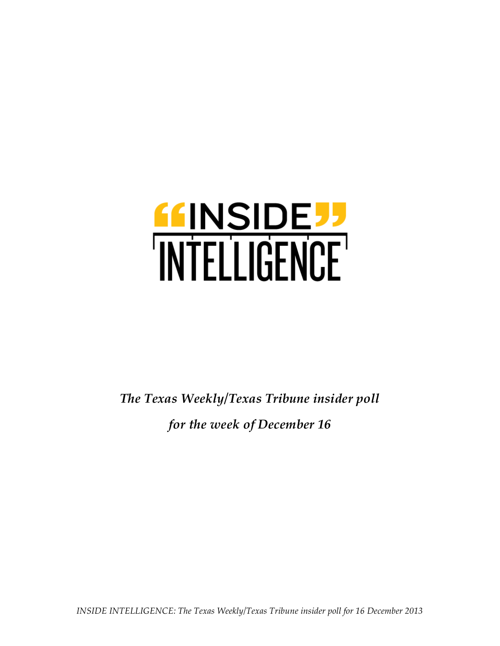

*The Texas Weekly/Texas Tribune insider poll for the week of December 16*

*INSIDE INTELLIGENCE: The Texas Weekly/Texas Tribune insider poll for 16 December 2013*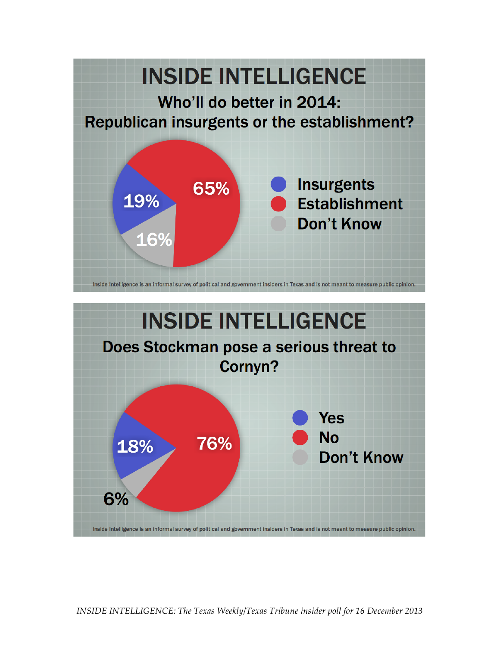

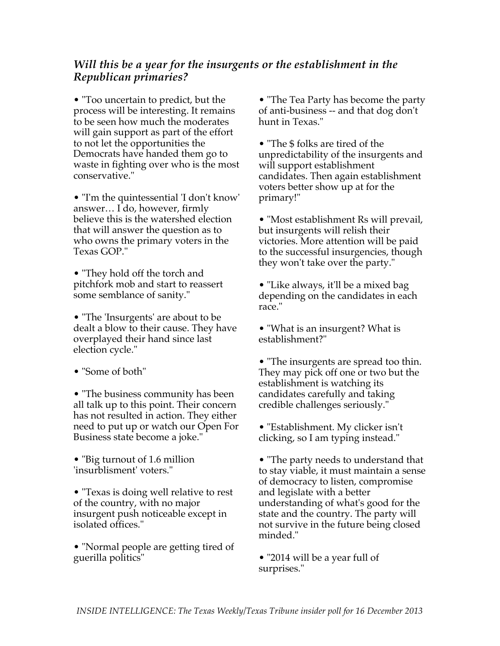## *Will this be a year for the insurgents or the establishment in the Republican primaries?*

• "Too uncertain to predict, but the process will be interesting. It remains to be seen how much the moderates will gain support as part of the effort to not let the opportunities the Democrats have handed them go to waste in fighting over who is the most conservative."

• "I'm the quintessential 'I don't know' answer… I do, however, firmly believe this is the watershed election that will answer the question as to who owns the primary voters in the Texas GOP."

• "They hold off the torch and pitchfork mob and start to reassert some semblance of sanity."

• "The 'Insurgents' are about to be dealt a blow to their cause. They have overplayed their hand since last election cycle."

• "Some of both"

• "The business community has been all talk up to this point. Their concern has not resulted in action. They either need to put up or watch our Open For Business state become a joke."

• "Big turnout of 1.6 million 'insurblisment' voters."

• "Texas is doing well relative to rest of the country, with no major insurgent push noticeable except in isolated offices."

• "Normal people are getting tired of guerilla politics"

• "The Tea Party has become the party of anti-business -- and that dog don't hunt in Texas."

• "The \$ folks are tired of the unpredictability of the insurgents and will support establishment candidates. Then again establishment voters better show up at for the primary!"

• "Most establishment Rs will prevail, but insurgents will relish their victories. More attention will be paid to the successful insurgencies, though they won't take over the party."

• "Like always, it'll be a mixed bag depending on the candidates in each race."

• "What is an insurgent? What is establishment?"

• "The insurgents are spread too thin. They may pick off one or two but the establishment is watching its candidates carefully and taking credible challenges seriously."

• "Establishment. My clicker isn't clicking, so I am typing instead."

• "The party needs to understand that to stay viable, it must maintain a sense of democracy to listen, compromise and legislate with a better understanding of what's good for the state and the country. The party will not survive in the future being closed minded."

• "2014 will be a year full of surprises."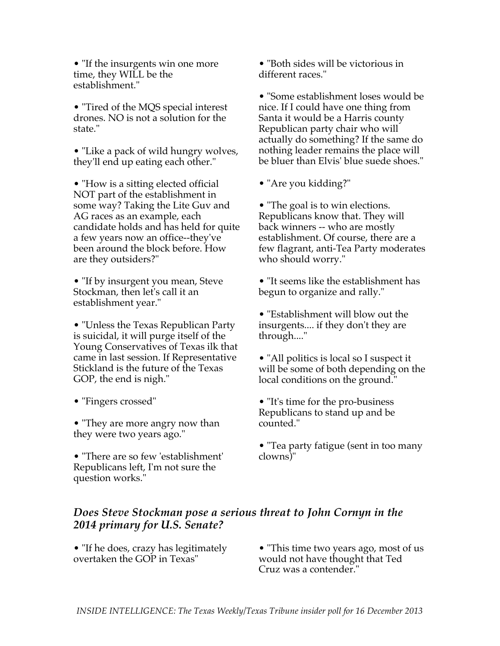• "If the insurgents win one more" time, they WILL be the establishment."

• "Tired of the MQS special interest drones. NO is not a solution for the state."

• "Like a pack of wild hungry wolves, they'll end up eating each other."

• "How is a sitting elected official NOT part of the establishment in some way? Taking the Lite Guv and AG races as an example, each candidate holds and has held for quite a few years now an office--they've been around the block before. How are they outsiders?"

• "If by insurgent you mean, Steve Stockman, then let's call it an establishment year."

• "Unless the Texas Republican Party is suicidal, it will purge itself of the Young Conservatives of Texas ilk that came in last session. If Representative Stickland is the future of the Texas GOP, the end is nigh."

• "Fingers crossed"

• "They are more angry now than they were two years ago."

• "There are so few 'establishment' Republicans left, I'm not sure the question works."

• "Both sides will be victorious in different races."

• "Some establishment loses would be nice. If I could have one thing from Santa it would be a Harris county Republican party chair who will actually do something? If the same do nothing leader remains the place will be bluer than Elvis' blue suede shoes."

• "Are you kidding?"

• "The goal is to win elections. Republicans know that. They will back winners -- who are mostly establishment. Of course, there are a few flagrant, anti-Tea Party moderates who should worry."

• "It seems like the establishment has begun to organize and rally."

• "Establishment will blow out the insurgents.... if they don't they are through...."

• "All politics is local so I suspect it will be some of both depending on the local conditions on the ground."

• "It's time for the pro-business Republicans to stand up and be counted."

• "Tea party fatigue (sent in too many clowns)"

## *Does Steve Stockman pose a serious threat to John Cornyn in the 2014 primary for U.S. Senate?*

• "If he does, crazy has legitimately overtaken the GOP in Texas"

• "This time two years ago, most of us would not have thought that Ted Cruz was a contender.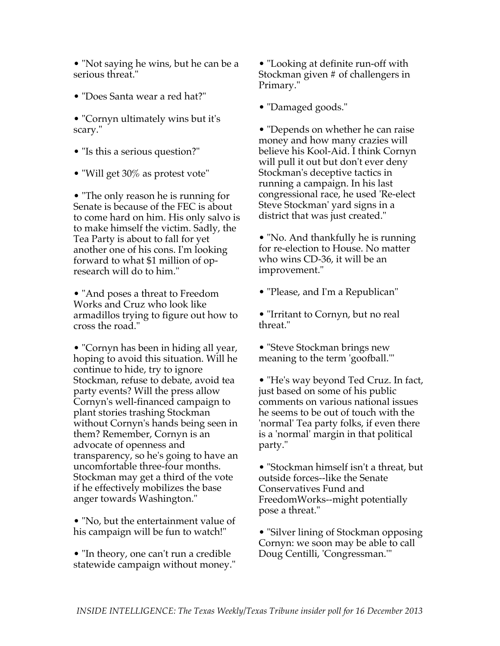• "Not saying he wins, but he can be a serious threat."

- "Does Santa wear a red hat?"
- "Cornyn ultimately wins but it's scary."
- "Is this a serious question?"
- "Will get 30% as protest vote"

• "The only reason he is running for Senate is because of the FEC is about to come hard on him. His only salvo is to make himself the victim. Sadly, the Tea Party is about to fall for yet another one of his cons. I'm looking forward to what \$1 million of opresearch will do to him."

• "And poses a threat to Freedom Works and Cruz who look like armadillos trying to figure out how to cross the road."

• "Cornyn has been in hiding all year, hoping to avoid this situation. Will he continue to hide, try to ignore Stockman, refuse to debate, avoid tea party events? Will the press allow Cornyn's well-financed campaign to plant stories trashing Stockman without Cornyn's hands being seen in them? Remember, Cornyn is an advocate of openness and transparency, so he's going to have an uncomfortable three-four months. Stockman may get a third of the vote if he effectively mobilizes the base anger towards Washington."

• "No, but the entertainment value of his campaign will be fun to watch!"

• "In theory, one can't run a credible statewide campaign without money."

• "Looking at definite run-off with Stockman given # of challengers in Primary."

• "Damaged goods."

• "Depends on whether he can raise money and how many crazies will believe his Kool-Aid. I think Cornyn will pull it out but don't ever deny Stockman's deceptive tactics in running a campaign. In his last congressional race, he used 'Re-elect Steve Stockman' yard signs in a district that was just created."

• "No. And thankfully he is running for re-election to House. No matter who wins CD-36, it will be an improvement."

• "Please, and I'm a Republican"

• "Irritant to Cornyn, but no real threat."

• "Steve Stockman brings new meaning to the term 'goofball.'"

• "He's way beyond Ted Cruz. In fact, just based on some of his public comments on various national issues he seems to be out of touch with the 'normal' Tea party folks, if even there is a 'normal' margin in that political party."

• "Stockman himself isn't a threat, but outside forces--like the Senate Conservatives Fund and FreedomWorks--might potentially pose a threat."

• "Silver lining of Stockman opposing Cornyn: we soon may be able to call Doug Centilli, 'Congressman.'"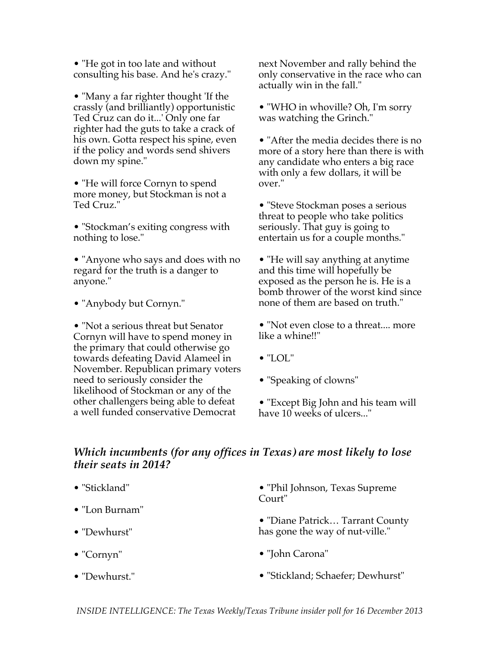• "He got in too late and without consulting his base. And he's crazy."

• "Many a far righter thought 'If the crassly (and brilliantly) opportunistic Ted Cruz can do it...' Only one far righter had the guts to take a crack of his own. Gotta respect his spine, even if the policy and words send shivers down my spine."

• "He will force Cornyn to spend more money, but Stockman is not a Ted Cruz."

• "Stockman's exiting congress with nothing to lose."

• "Anyone who says and does with no regard for the truth is a danger to anyone."

• "Anybody but Cornyn."

• "Not a serious threat but Senator Cornyn will have to spend money in the primary that could otherwise go towards defeating David Alameel in November. Republican primary voters need to seriously consider the likelihood of Stockman or any of the other challengers being able to defeat a well funded conservative Democrat

next November and rally behind the only conservative in the race who can actually win in the fall."

• "WHO in whoville? Oh, I'm sorry was watching the Grinch."

• "After the media decides there is no more of a story here than there is with any candidate who enters a big race with only a few dollars, it will be over."

• "Steve Stockman poses a serious threat to people who take politics seriously. That guy is going to entertain us for a couple months."

• "He will say anything at anytime and this time will hopefully be exposed as the person he is. He is a bomb thrower of the worst kind since none of them are based on truth."

• "Not even close to a threat.... more like a whine!!"

- "LOL"
- "Speaking of clowns"

• "Except Big John and his team will have 10 weeks of ulcers..."

## *Which incumbents (for any offices in Texas) are most likely to lose their seats in 2014?*

- "Stickland"
- "Lon Burnam"
- "Dewhurst"
- "Cornyn"
- "Dewhurst."

• "Phil Johnson, Texas Supreme Court"

• "Diane Patrick… Tarrant County has gone the way of nut-ville."

- "John Carona"
- "Stickland; Schaefer; Dewhurst"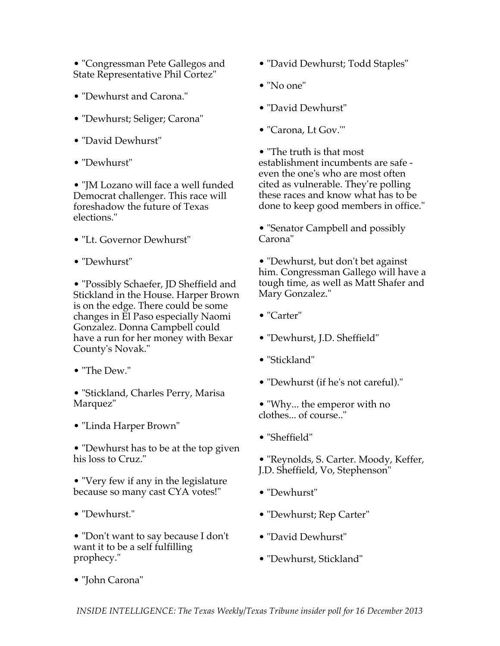• "Congressman Pete Gallegos and State Representative Phil Cortez"

- "Dewhurst and Carona."
- "Dewhurst; Seliger; Carona"
- "David Dewhurst"
- "Dewhurst"

• "JM Lozano will face a well funded Democrat challenger. This race will foreshadow the future of Texas elections."

- "Lt. Governor Dewhurst"
- "Dewhurst"

• "Possibly Schaefer, JD Sheffield and Stickland in the House. Harper Brown is on the edge. There could be some changes in El Paso especially Naomi Gonzalez. Donna Campbell could have a run for her money with Bexar County's Novak."

• "The Dew."

• "Stickland, Charles Perry, Marisa Marquez"

• "Linda Harper Brown"

• "Dewhurst has to be at the top given his loss to Cruz."

• "Very few if any in the legislature because so many cast CYA votes!"

• "Dewhurst."

• "Don't want to say because I don't want it to be a self fulfilling prophecy."

- "David Dewhurst; Todd Staples"
- "No one"
- "David Dewhurst"
- "Carona, Lt Gov.'"

• "The truth is that most establishment incumbents are safe even the one's who are most often cited as vulnerable. They're polling these races and know what has to be done to keep good members in office."

• "Senator Campbell and possibly Carona"

• "Dewhurst, but don't bet against him. Congressman Gallego will have a tough time, as well as Matt Shafer and Mary Gonzalez."

- "Carter"
- "Dewhurst, J.D. Sheffield"
- "Stickland"
- "Dewhurst (if he's not careful)."
- "Why... the emperor with no clothes... of course.."
- "Sheffield"
- "Reynolds, S. Carter. Moody, Keffer, J.D. Sheffield, Vo, Stephenson"
- "Dewhurst"
- "Dewhurst; Rep Carter"
- "David Dewhurst"
- "Dewhurst, Stickland"

• "John Carona"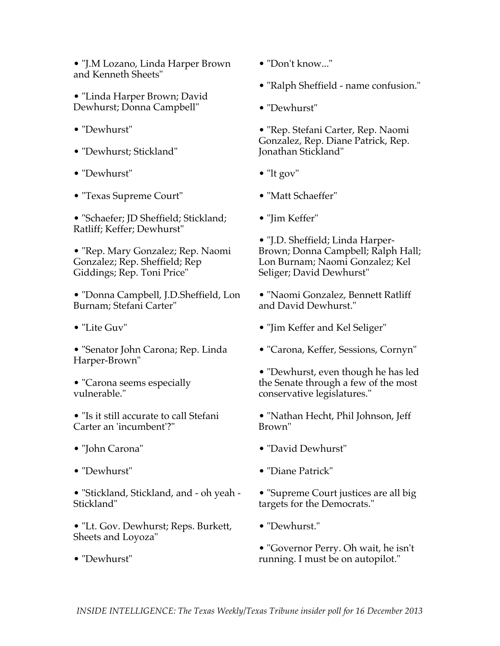• "J.M Lozano, Linda Harper Brown and Kenneth Sheets"

• "Linda Harper Brown; David Dewhurst; Donna Campbell"

- "Dewhurst"
- "Dewhurst; Stickland"
- "Dewhurst"
- "Texas Supreme Court"

• "Schaefer; JD Sheffield; Stickland; Ratliff; Keffer; Dewhurst"

• "Rep. Mary Gonzalez; Rep. Naomi Gonzalez; Rep. Sheffield; Rep Giddings; Rep. Toni Price"

• "Donna Campbell, J.D.Sheffield, Lon Burnam; Stefani Carter"

- "Lite Guv"
- "Senator John Carona; Rep. Linda Harper-Brown"

• "Carona seems especially vulnerable."

• "Is it still accurate to call Stefani Carter an 'incumbent'?"

- "John Carona"
- "Dewhurst"

• "Stickland, Stickland, and - oh yeah - Stickland"

• "Lt. Gov. Dewhurst; Reps. Burkett, Sheets and Loyoza"

• "Dewhurst"

- "Don't know..."
- "Ralph Sheffield name confusion."
- "Dewhurst"

• "Rep. Stefani Carter, Rep. Naomi Gonzalez, Rep. Diane Patrick, Rep. Jonathan Stickland"

- "lt gov"
- "Matt Schaeffer"
- "Jim Keffer"

• "J.D. Sheffield; Linda Harper-Brown; Donna Campbell; Ralph Hall; Lon Burnam; Naomi Gonzalez; Kel Seliger; David Dewhurst"

• "Naomi Gonzalez, Bennett Ratliff and David Dewhurst."

- "Jim Keffer and Kel Seliger"
- "Carona, Keffer, Sessions, Cornyn"

• "Dewhurst, even though he has led the Senate through a few of the most conservative legislatures."

• "Nathan Hecht, Phil Johnson, Jeff Brown"

- "David Dewhurst"
- "Diane Patrick"
- "Supreme Court justices are all big targets for the Democrats."
- "Dewhurst."

• "Governor Perry. Oh wait, he isn't running. I must be on autopilot."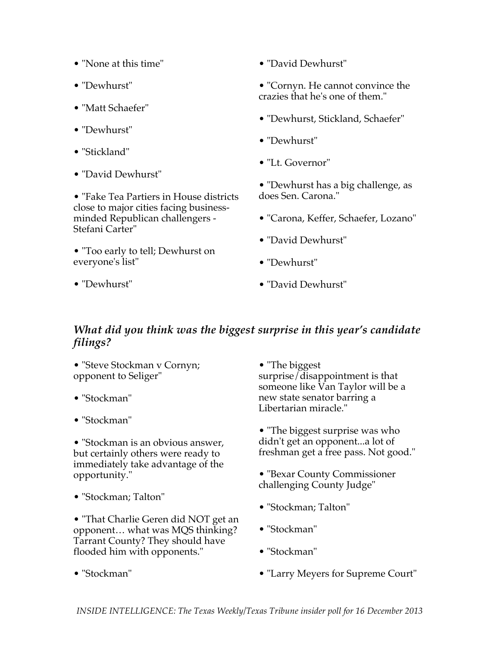- "None at this time"
- "Dewhurst"
- "Matt Schaefer"
- "Dewhurst"
- "Stickland"
- "David Dewhurst"

• "Fake Tea Partiers in House districts close to major cities facing businessminded Republican challengers - Stefani Carter"

• "Too early to tell; Dewhurst on everyone's list"

- "David Dewhurst"
- "Cornyn. He cannot convince the crazies that he's one of them."
- "Dewhurst, Stickland, Schaefer"
- "Dewhurst"
- "Lt. Governor"

• "Dewhurst has a big challenge, as does Sen. Carona."

- "Carona, Keffer, Schaefer, Lozano"
- "David Dewhurst"
- "Dewhurst"
- "David Dewhurst"

## *What did you think was the biggest surprise in this year's candidate filings?*

• "Steve Stockman v Cornyn; opponent to Seliger"

• "Stockman"

• "Dewhurst"

• "Stockman"

• "Stockman is an obvious answer, but certainly others were ready to immediately take advantage of the opportunity."

• "Stockman; Talton"

• "That Charlie Geren did NOT get an opponent… what was MQS thinking? Tarrant County? They should have flooded him with opponents."

• "The biggest" surprise/disappointment is that someone like Van Taylor will be a new state senator barring a Libertarian miracle."

- "The biggest surprise was who didn't get an opponent...a lot of freshman get a free pass. Not good."
- "Bexar County Commissioner challenging County Judge"
- "Stockman; Talton"
- "Stockman"
- "Stockman"
- "Larry Meyers for Supreme Court"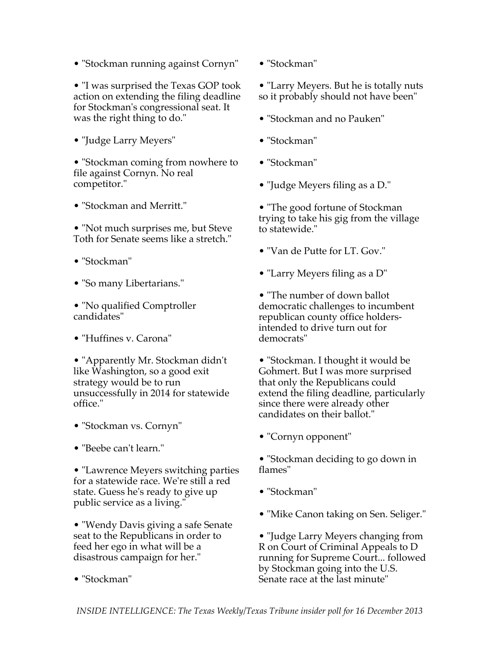• "Stockman running against Cornyn"

• "I was surprised the Texas GOP took action on extending the filing deadline for Stockman's congressional seat. It was the right thing to do."

• "Judge Larry Meyers"

• "Stockman coming from nowhere to file against Cornyn. No real competitor."

• "Stockman and Merritt."

• "Not much surprises me, but Steve Toth for Senate seems like a stretch."

- "Stockman"
- "So many Libertarians."
- "No qualified Comptroller candidates"
- "Huffines v. Carona"

• "Apparently Mr. Stockman didn't like Washington, so a good exit strategy would be to run unsuccessfully in 2014 for statewide office."

- "Stockman vs. Cornyn"
- "Beebe can't learn."

• "Lawrence Meyers switching parties for a statewide race. We're still a red state. Guess he's ready to give up public service as a living."

• "Wendy Davis giving a safe Senate seat to the Republicans in order to feed her ego in what will be a disastrous campaign for her."

• "Stockman"

• "Stockman"

• "Larry Meyers. But he is totally nuts so it probably should not have been"

- "Stockman and no Pauken"
- "Stockman"
- "Stockman"
- "Judge Meyers filing as a D."

• "The good fortune of Stockman" trying to take his gig from the village to statewide."

- "Van de Putte for LT. Gov."
- "Larry Meyers filing as a D"

• "The number of down ballot democratic challenges to incumbent republican county office holdersintended to drive turn out for democrats"

• "Stockman. I thought it would be Gohmert. But I was more surprised that only the Republicans could extend the filing deadline, particularly since there were already other candidates on their ballot."

• "Cornyn opponent"

• "Stockman deciding to go down in flames"

- "Stockman"
- "Mike Canon taking on Sen. Seliger."

• "Judge Larry Meyers changing from R on Court of Criminal Appeals to D running for Supreme Court... followed by Stockman going into the U.S. Senate race at the last minute"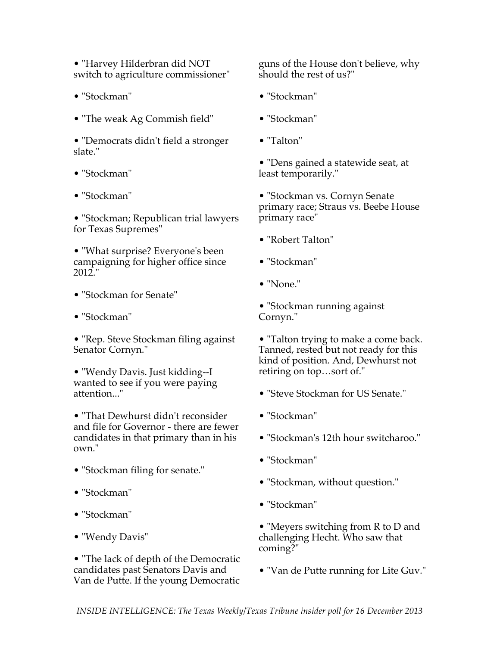• "Harvey Hilderbran did NOT switch to agriculture commissioner"

- "Stockman"
- "The weak Ag Commish field"
- "Democrats didn't field a stronger slate."
- "Stockman"
- "Stockman"

• "Stockman; Republican trial lawyers for Texas Supremes"

• "What surprise? Everyone's been campaigning for higher office since 2012."

- "Stockman for Senate"
- "Stockman"

• "Rep. Steve Stockman filing against Senator Cornyn."

• "Wendy Davis. Just kidding--I wanted to see if you were paying attention..."

• "That Dewhurst didn't reconsider and file for Governor - there are fewer candidates in that primary than in his own."

- "Stockman filing for senate."
- "Stockman"
- "Stockman"
- "Wendy Davis"

• "The lack of depth of the Democratic candidates past Senators Davis and Van de Putte. If the young Democratic

guns of the House don't believe, why should the rest of us?"

- "Stockman"
- "Stockman"
- "Talton"

• "Dens gained a statewide seat, at least temporarily."

- "Stockman vs. Cornyn Senate primary race; Straus vs. Beebe House primary race"
- "Robert Talton"
- "Stockman"
- "None."

• "Stockman running against Cornyn."

• "Talton trying to make a come back. Tanned, rested but not ready for this kind of position. And, Dewhurst not retiring on top…sort of."

- "Steve Stockman for US Senate."
- "Stockman"
- "Stockman's 12th hour switcharoo."
- "Stockman"
- "Stockman, without question."
- "Stockman"

• "Meyers switching from R to D and challenging Hecht. Who saw that coming?"

• "Van de Putte running for Lite Guv."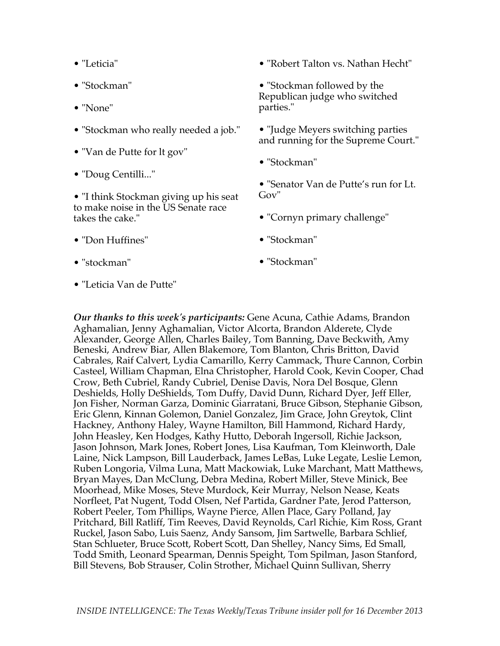- "Leticia"
- "Stockman"
- "None"
- "Stockman who really needed a job."
- "Van de Putte for lt gov"
- "Doug Centilli..."

• "I think Stockman giving up his seat to make noise in the US Senate race takes the cake."

• "Robert Talton vs. Nathan Hecht"

• "Stockman followed by the Republican judge who switched parties."

- "Judge Meyers switching parties and running for the Supreme Court."
- "Stockman"

• "Senator Van de Putte's run for Lt. Gov"

- "Cornyn primary challenge"
- "Stockman"

• "stockman"

• "Don Huffines"

• "Stockman"

• "Leticia Van de Putte"

*Our thanks to this week's participants:* Gene Acuna, Cathie Adams, Brandon Aghamalian, Jenny Aghamalian, Victor Alcorta, Brandon Alderete, Clyde Alexander, George Allen, Charles Bailey, Tom Banning, Dave Beckwith, Amy Beneski, Andrew Biar, Allen Blakemore, Tom Blanton, Chris Britton, David Cabrales, Raif Calvert, Lydia Camarillo, Kerry Cammack, Thure Cannon, Corbin Casteel, William Chapman, Elna Christopher, Harold Cook, Kevin Cooper, Chad Crow, Beth Cubriel, Randy Cubriel, Denise Davis, Nora Del Bosque, Glenn Deshields, Holly DeShields, Tom Duffy, David Dunn, Richard Dyer, Jeff Eller, Jon Fisher, Norman Garza, Dominic Giarratani, Bruce Gibson, Stephanie Gibson, Eric Glenn, Kinnan Golemon, Daniel Gonzalez, Jim Grace, John Greytok, Clint Hackney, Anthony Haley, Wayne Hamilton, Bill Hammond, Richard Hardy, John Heasley, Ken Hodges, Kathy Hutto, Deborah Ingersoll, Richie Jackson, Jason Johnson, Mark Jones, Robert Jones, Lisa Kaufman, Tom Kleinworth, Dale Laine, Nick Lampson, Bill Lauderback, James LeBas, Luke Legate, Leslie Lemon, Ruben Longoria, Vilma Luna, Matt Mackowiak, Luke Marchant, Matt Matthews, Bryan Mayes, Dan McClung, Debra Medina, Robert Miller, Steve Minick, Bee Moorhead, Mike Moses, Steve Murdock, Keir Murray, Nelson Nease, Keats Norfleet, Pat Nugent, Todd Olsen, Nef Partida, Gardner Pate, Jerod Patterson, Robert Peeler, Tom Phillips, Wayne Pierce, Allen Place, Gary Polland, Jay Pritchard, Bill Ratliff, Tim Reeves, David Reynolds, Carl Richie, Kim Ross, Grant Ruckel, Jason Sabo, Luis Saenz, Andy Sansom, Jim Sartwelle, Barbara Schlief, Stan Schlueter, Bruce Scott, Robert Scott, Dan Shelley, Nancy Sims, Ed Small, Todd Smith, Leonard Spearman, Dennis Speight, Tom Spilman, Jason Stanford, Bill Stevens, Bob Strauser, Colin Strother, Michael Quinn Sullivan, Sherry